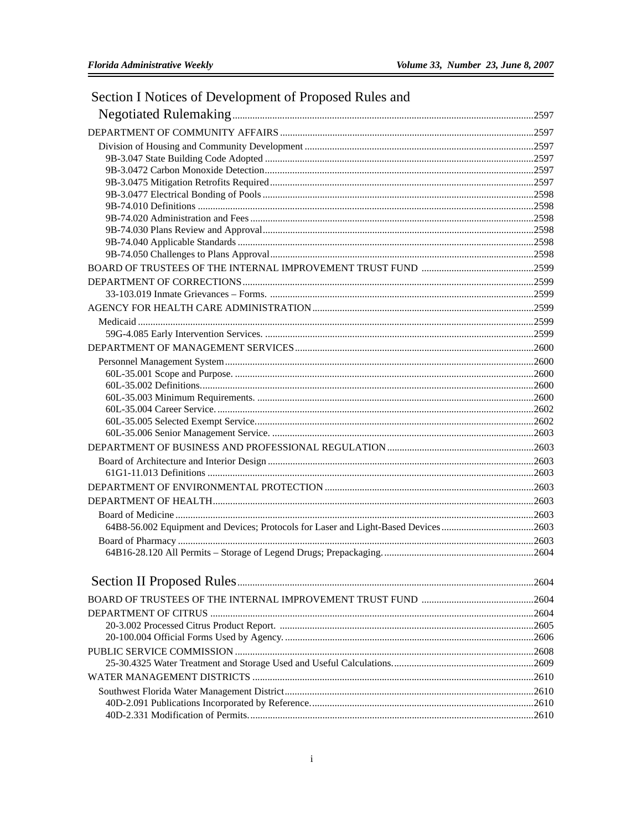| Section I Notices of Development of Proposed Rules and                             |  |
|------------------------------------------------------------------------------------|--|
|                                                                                    |  |
|                                                                                    |  |
|                                                                                    |  |
|                                                                                    |  |
|                                                                                    |  |
|                                                                                    |  |
|                                                                                    |  |
|                                                                                    |  |
|                                                                                    |  |
|                                                                                    |  |
|                                                                                    |  |
|                                                                                    |  |
|                                                                                    |  |
|                                                                                    |  |
|                                                                                    |  |
|                                                                                    |  |
|                                                                                    |  |
|                                                                                    |  |
|                                                                                    |  |
|                                                                                    |  |
|                                                                                    |  |
|                                                                                    |  |
|                                                                                    |  |
|                                                                                    |  |
|                                                                                    |  |
|                                                                                    |  |
|                                                                                    |  |
|                                                                                    |  |
|                                                                                    |  |
|                                                                                    |  |
| 64B8-56.002 Equipment and Devices; Protocols for Laser and Light-Based Devices2603 |  |
|                                                                                    |  |
|                                                                                    |  |
|                                                                                    |  |
|                                                                                    |  |
|                                                                                    |  |
|                                                                                    |  |
|                                                                                    |  |
|                                                                                    |  |
|                                                                                    |  |
|                                                                                    |  |
|                                                                                    |  |
|                                                                                    |  |
|                                                                                    |  |
|                                                                                    |  |

## $\rm i$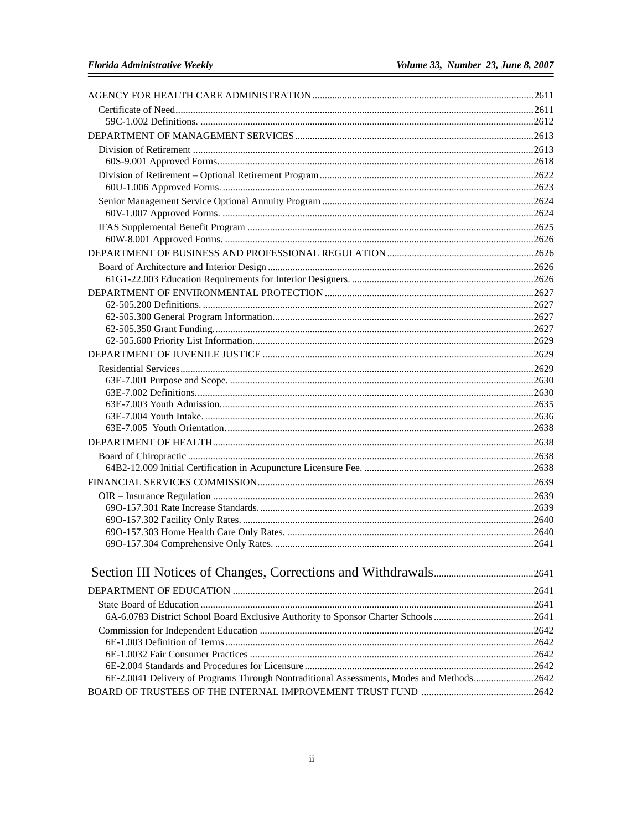| 6E-2.0041 Delivery of Programs Through Nontraditional Assessments, Modes and Methods2642 |  |
|------------------------------------------------------------------------------------------|--|
|                                                                                          |  |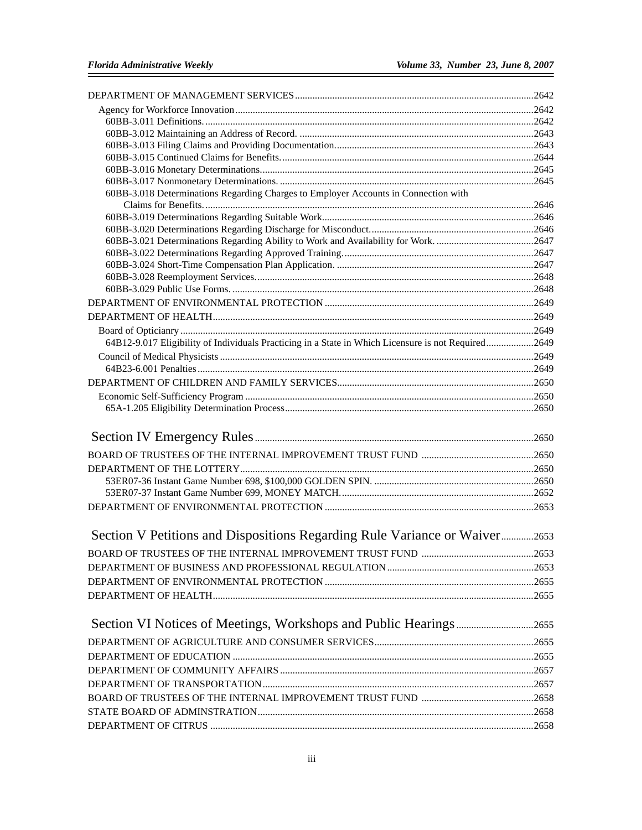| 60BB-3.018 Determinations Regarding Charges to Employer Accounts in Connection with                 |  |
|-----------------------------------------------------------------------------------------------------|--|
|                                                                                                     |  |
|                                                                                                     |  |
|                                                                                                     |  |
|                                                                                                     |  |
|                                                                                                     |  |
|                                                                                                     |  |
|                                                                                                     |  |
|                                                                                                     |  |
|                                                                                                     |  |
|                                                                                                     |  |
| 64812-9.017 Eligibility of Individuals Practicing in a State in Which Licensure is not Required2649 |  |
|                                                                                                     |  |
|                                                                                                     |  |
|                                                                                                     |  |
|                                                                                                     |  |
|                                                                                                     |  |
|                                                                                                     |  |
|                                                                                                     |  |
|                                                                                                     |  |
|                                                                                                     |  |
|                                                                                                     |  |
|                                                                                                     |  |
|                                                                                                     |  |
|                                                                                                     |  |
|                                                                                                     |  |
| Section V Petitions and Dispositions Regarding Rule Variance or Waiver2653                          |  |
|                                                                                                     |  |
|                                                                                                     |  |
|                                                                                                     |  |
|                                                                                                     |  |
|                                                                                                     |  |
|                                                                                                     |  |
|                                                                                                     |  |
|                                                                                                     |  |
|                                                                                                     |  |
|                                                                                                     |  |
|                                                                                                     |  |
|                                                                                                     |  |
|                                                                                                     |  |
|                                                                                                     |  |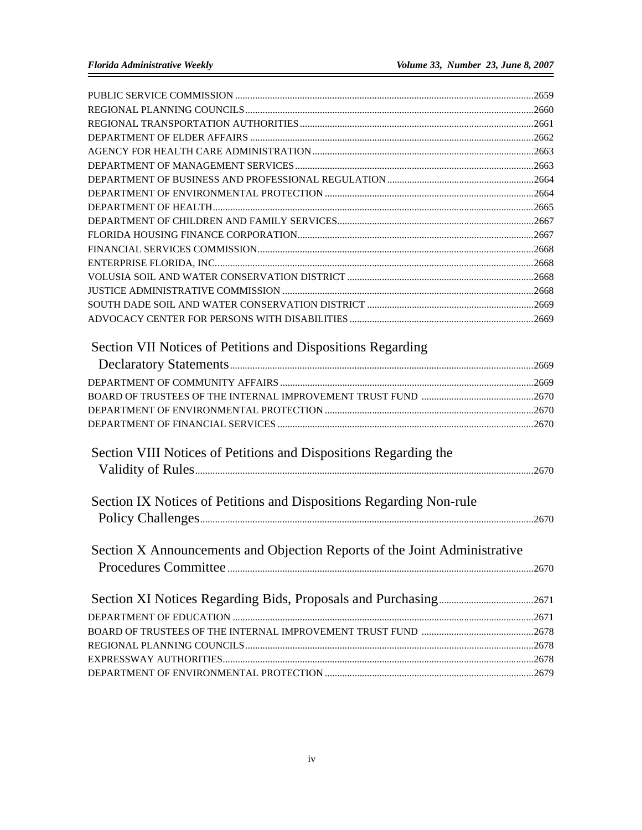| Section VII Notices of Petitions and Dispositions Regarding               |  |
|---------------------------------------------------------------------------|--|
|                                                                           |  |
|                                                                           |  |
|                                                                           |  |
|                                                                           |  |
|                                                                           |  |
| Section VIII Notices of Petitions and Dispositions Regarding the          |  |
|                                                                           |  |
|                                                                           |  |
| Section IX Notices of Petitions and Dispositions Regarding Non-rule       |  |
|                                                                           |  |
|                                                                           |  |
| Section X Announcements and Objection Reports of the Joint Administrative |  |
|                                                                           |  |
|                                                                           |  |
|                                                                           |  |
|                                                                           |  |
|                                                                           |  |
|                                                                           |  |
|                                                                           |  |